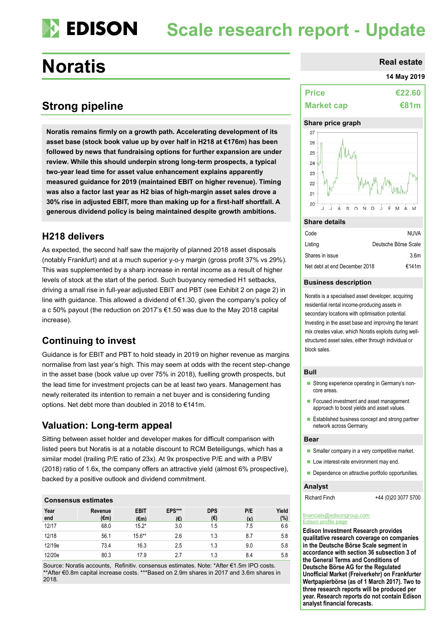# **EDISON Scale research report - Update**

# **Noratis**

# **Strong pipeline**

**Noratis remains firmly on a growth path. Accelerating development of its asset base (stock book value up by over half in H218 at €176m) has been followed by news that fundraising options for further expansion are under review. While this should underpin strong long-term prospects, a typical two-year lead time for asset value enhancement explains apparently measured guidance for 2019 (maintained EBIT on higher revenue). Timing was also a factor last year as H2 bias of high-margin asset sales drove a 30% rise in adjusted EBIT, more than making up for a first-half shortfall. A generous dividend policy is being maintained despite growth ambitions.** 

### **H218 delivers**

As expected, the second half saw the majority of planned 2018 asset disposals (notably Frankfurt) and at a much superior y-o-y margin (gross profit 37% vs 29%). This was supplemented by a sharp increase in rental income as a result of higher levels of stock at the start of the period. Such buoyancy remedied H1 setbacks, driving a small rise in full-year adjusted EBIT and PBT (see Exhibit 2 on page 2) in line with guidance. This allowed a dividend of €1.30, given the company's policy of a c 50% payout (the reduction on 2017's €1.50 was due to the May 2018 capital increase).

### **Continuing to invest**

Guidance is for EBIT and PBT to hold steady in 2019 on higher revenue as margins normalise from last year's high. This may seem at odds with the recent step-change in the asset base (book value up over 75% in 2018), fuelling growth prospects, but the lead time for investment projects can be at least two years. Management has newly reiterated its intention to remain a net buyer and is considering funding options. Net debt more than doubled in 2018 to €141m.

### **Valuation: Long-term appeal**

Sitting between asset holder and developer makes for difficult comparison with listed peers but Noratis is at a notable discount to RCM Beteiligungs, which has a similar model (trailing P/E ratio of 23x). At 9x prospective P/E and with a P/BV (2018) ratio of 1.6x, the company offers an attractive yield (almost 6% prospective), backed by a positive outlook and dividend commitment.

### **Consensus estimates**

| Year<br>end | Revenue<br>$(\epsilon m)$ | <b>EBIT</b><br>(€m) | EPS***<br>(€) | <b>DPS</b><br>(€) | P/E<br>(x) | Yield<br>(%) |  |  |
|-------------|---------------------------|---------------------|---------------|-------------------|------------|--------------|--|--|
| 12/17       | 68.0                      | $15.2*$             | 3.0           | 1.5               | 7.5        | 6.6          |  |  |
| 12/18       | 56.1                      | $15.6***$           | 2.6           | 1.3               | 8.7        | 5.8          |  |  |
| 12/19e      | 73.4                      | 16.3                | 2.5           | 1.3               | 9.0        | 5.8          |  |  |
| 12/20e      | 80.3                      | 17.9                | 2.7           | 1.3               | 8.4        | 5.8          |  |  |

Source: Noratis accounts, Refinitiv. consensus estimates. Note: \*After €1.5m IPO costs. \*\*After €0.8m capital increase costs. \*\*\*Based on 2.9m shares in 2017 and 3.6m shares in 2018.

| <b>Real estate</b> |
|--------------------|
|                    |

### **14 May 2019**

| <b>Price</b>      | €22.60      |
|-------------------|-------------|
| <b>Market cap</b> | <b>€81m</b> |

### **Share price graph**



### **Share details**

| Code                          | NUVA                 |
|-------------------------------|----------------------|
| Listing                       | Deutsche Börse Scale |
| Shares in issue               | 3.6 <sub>m</sub>     |
| Net debt at end December 2018 | €141m                |

### **Business description**

Noratis is a specialised asset developer, acquiring residential rental income-producing assets in secondary locations with optimisation potential. Investing in the asset base and improving the tenant mix creates value, which Noratis exploits during wellstructured asset sales, either through individual or block sales.

### **Bull**

- Strong experience operating in Germany's noncore areas.
- Focused investment and asset management approach to boost yields and asset values.
- Established business concept and strong partner network across Germany.

#### **Bear**

- Smaller company in a very competitive market.
- Low interest-rate environment may end.
- Dependence on attractive portfolio opportunities.

### **Analyst**

Richard Finch +44 (0)20 3077 5700

### [financials@edisongroup.com](mailto:financials@edisongroup.com)

### [Edison profile page](https://www.edisongroup.com/company/noratis/2658/)

**Edison Investment Research provides qualitative research coverage on companies in the Deutsche Börse Scale segment in accordance with section 36 subsection 3 of the General Terms and Conditions of Deutsche Börse AG for the Regulated Unofficial Market (Freiverkehr) on Frankfurter Wertpapierbörse (as of 1 March 2017). Two to three research reports will be produced per year. Research reports do not contain Edison analyst financial forecasts.**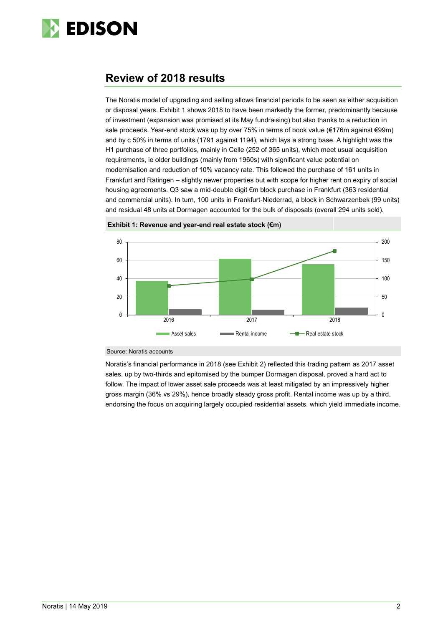

## **Review of 2018 results**

The Noratis model of upgrading and selling allows financial periods to be seen as either acquisition or disposal years. Exhibit 1 shows 2018 to have been markedly the former, predominantly because of investment (expansion was promised at its May fundraising) but also thanks to a reduction in sale proceeds. Year-end stock was up by over 75% in terms of book value (€176m against €99m) and by c 50% in terms of units (1791 against 1194), which lays a strong base. A highlight was the H1 purchase of three portfolios, mainly in Celle (252 of 365 units), which meet usual acquisition requirements, ie older buildings (mainly from 1960s) with significant value potential on modernisation and reduction of 10% vacancy rate. This followed the purchase of 161 units in Frankfurt and Ratingen – slightly newer properties but with scope for higher rent on expiry of social housing agreements. Q3 saw a mid-double digit €m block purchase in Frankfurt (363 residential and commercial units). In turn, 100 units in Frankfurt-Niederrad, a block in Schwarzenbek (99 units) and residual 48 units at Dormagen accounted for the bulk of disposals (overall 294 units sold).





Source: Noratis accounts

Noratis's financial performance in 2018 (see Exhibit 2) reflected this trading pattern as 2017 asset sales, up by two-thirds and epitomised by the bumper Dormagen disposal, proved a hard act to follow. The impact of lower asset sale proceeds was at least mitigated by an impressively higher gross margin (36% vs 29%), hence broadly steady gross profit. Rental income was up by a third, endorsing the focus on acquiring largely occupied residential assets, which yield immediate income.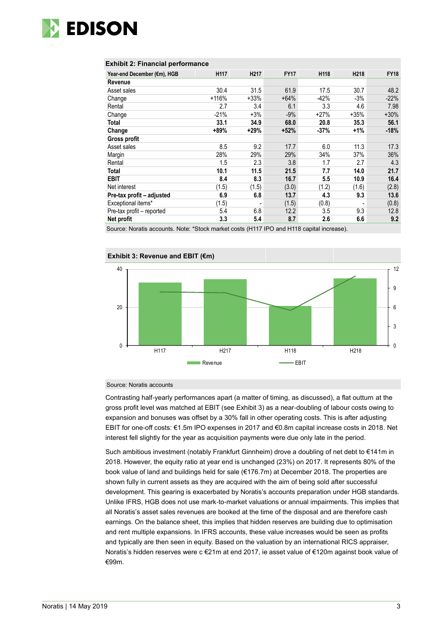

### **Exhibit 2: Financial performance**

| Year-end December (€m), HGB | H117    | H <sub>217</sub> | <b>FY17</b> | H118   | H218   | <b>FY18</b> |
|-----------------------------|---------|------------------|-------------|--------|--------|-------------|
| Revenue                     |         |                  |             |        |        |             |
| Asset sales                 | 30.4    | 31.5             | 61.9        | 17.5   | 30.7   | 48.2        |
| Change                      | $+116%$ | $+33%$           | $+64%$      | $-42%$ | -3%    | $-22%$      |
| Rental                      | 2.7     | 3.4              | 6.1         | 3.3    | 4.6    | 7.98        |
| Change                      | $-21%$  | $+3%$            | $-9%$       | $+27%$ | $+35%$ | $+30%$      |
| Total                       | 33.1    | 34.9             | 68.0        | 20.8   | 35.3   | 56.1        |
| Change                      | +89%    | $+29%$           | $+52%$      | -37%   | $+1%$  | $-18%$      |
| Gross profit                |         |                  |             |        |        |             |
| Asset sales                 | 8.5     | 9.2              | 17.7        | 6.0    | 11.3   | 17.3        |
| Margin                      | 28%     | 29%              | 29%         | 34%    | 37%    | 36%         |
| Rental                      | 1.5     | 2.3              | 3.8         | 1.7    | 2.7    | 4.3         |
| Total                       | 10.1    | 11.5             | 21.5        | 7.7    | 14.0   | 21.7        |
| <b>EBIT</b>                 | 8.4     | 8.3              | 16.7        | 5.5    | 10.9   | 16.4        |
| Net interest                | (1.5)   | (1.5)            | (3.0)       | (1.2)  | (1.6)  | (2.8)       |
| Pre-tax profit - adjusted   | 6.9     | 6.8              | 13.7        | 4.3    | 9.3    | 13.6        |
| Exceptional items*          | (1.5)   | ٠                | (1.5)       | (0.8)  |        | (0.8)       |
| Pre-tax profit - reported   | 5.4     | 6.8              | 12.2        | 3.5    | 9.3    | 12.8        |
| Net profit                  | 3.3     | 5.4              | 8.7         | 2.6    | 6.6    | 9.2         |

Source: Noratis accounts. Note: \*Stock market costs (H117 IPO and H118 capital increase).



### Source: Noratis accounts

Contrasting half-yearly performances apart (a matter of timing, as discussed), a flat outturn at the gross profit level was matched at EBIT (see Exhibit 3) as a near-doubling of labour costs owing to expansion and bonuses was offset by a 30% fall in other operating costs. This is after adjusting EBIT for one-off costs: €1.5m IPO expenses in 2017 and €0.8m capital increase costs in 2018. Net interest fell slightly for the year as acquisition payments were due only late in the period.

Such ambitious investment (notably Frankfurt Ginnheim) drove a doubling of net debt to €141m in 2018. However, the equity ratio at year end is unchanged (23%) on 2017. It represents 80% of the book value of land and buildings held for sale (€176.7m) at December 2018. The properties are shown fully in current assets as they are acquired with the aim of being sold after successful development. This gearing is exacerbated by Noratis's accounts preparation under HGB standards. Unlike IFRS, HGB does not use mark-to-market valuations or annual impairments. This implies that all Noratis's asset sales revenues are booked at the time of the disposal and are therefore cash earnings. On the balance sheet, this implies that hidden reserves are building due to optimisation and rent multiple expansions. In IFRS accounts, these value increases would be seen as profits and typically are then seen in equity. Based on the valuation by an international RICS appraiser, Noratis's hidden reserves were c €21m at end 2017, ie asset value of €120m against book value of €99m.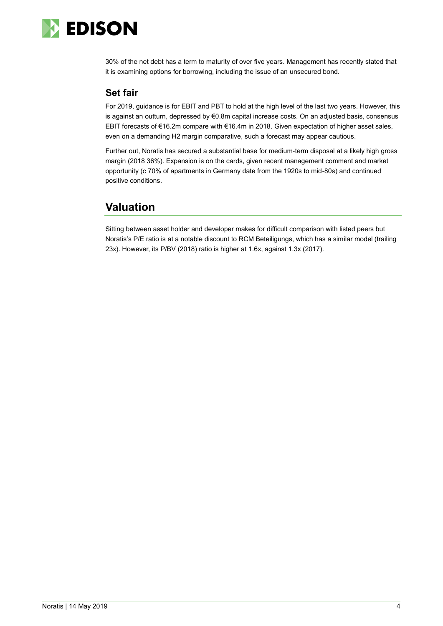

30% of the net debt has a term to maturity of over five years. Management has recently stated that it is examining options for borrowing, including the issue of an unsecured bond.

### **Set fair**

For 2019, guidance is for EBIT and PBT to hold at the high level of the last two years. However, this is against an outturn, depressed by €0.8m capital increase costs. On an adjusted basis, consensus EBIT forecasts of €16.2m compare with €16.4m in 2018. Given expectation of higher asset sales, even on a demanding H2 margin comparative, such a forecast may appear cautious.

Further out, Noratis has secured a substantial base for medium-term disposal at a likely high gross margin (2018 36%). Expansion is on the cards, given recent management comment and market opportunity (c 70% of apartments in Germany date from the 1920s to mid-80s) and continued positive conditions.

# **Valuation**

Sitting between asset holder and developer makes for difficult comparison with listed peers but Noratis's P/E ratio is at a notable discount to RCM Beteiligungs, which has a similar model (trailing 23x). However, its P/BV (2018) ratio is higher at 1.6x, against 1.3x (2017).